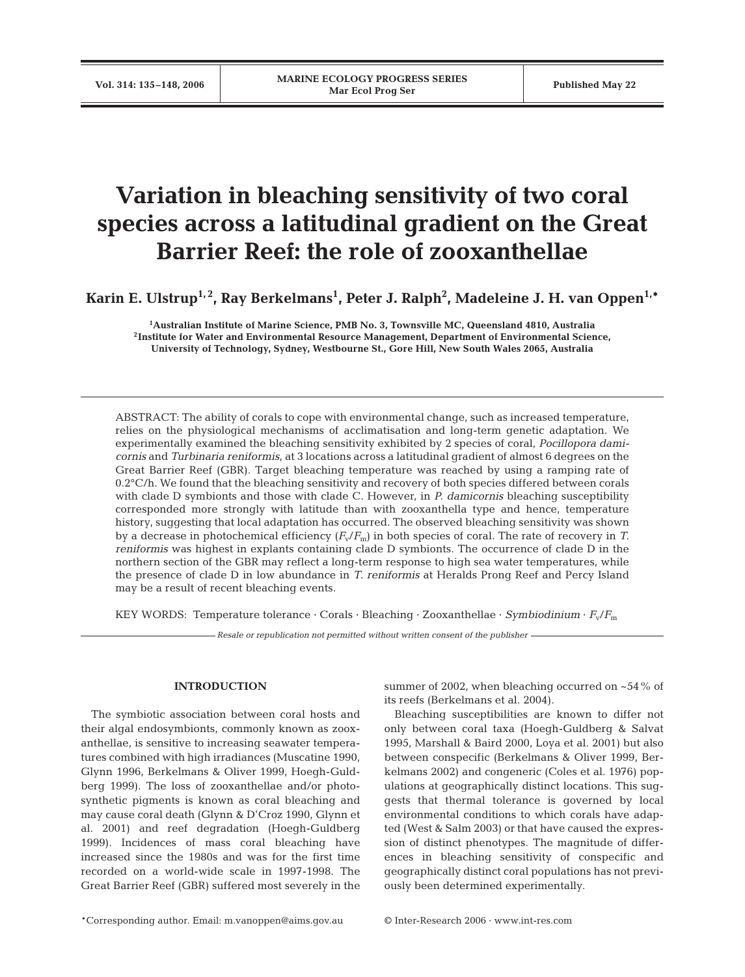# **Variation in bleaching sensitivity of two coral species across a latitudinal gradient on the Great Barrier Reef: the role of zooxanthellae**

**Karin E. Ulstrup1, 2, Ray Berkelmans1 , Peter J. Ralph2 , Madeleine J. H. van Oppen1,\***

**1 Australian Institute of Marine Science, PMB No. 3, Townsville MC, Queensland 4810, Australia 2Institute for Water and Environmental Resource Management, Department of Environmental Science, University of Technology, Sydney, Westbourne St., Gore Hill, New South Wales 2065, Australia**

ABSTRACT: The ability of corals to cope with environmental change, such as increased temperature, relies on the physiological mechanisms of acclimatisation and long-term genetic adaptation. We experimentally examined the bleaching sensitivity exhibited by 2 species of coral, *Pocillopora damicornis* and *Turbinaria reniformis*, at 3 locations across a latitudinal gradient of almost 6 degrees on the Great Barrier Reef (GBR). Target bleaching temperature was reached by using a ramping rate of 0.2°C/h. We found that the bleaching sensitivity and recovery of both species differed between corals with clade D symbionts and those with clade C. However, in *P. damicornis* bleaching susceptibility corresponded more strongly with latitude than with zooxanthella type and hence, temperature history, suggesting that local adaptation has occurred. The observed bleaching sensitivity was shown by a decrease in photochemical efficiency  $(F_v/F_m)$  in both species of coral. The rate of recovery in *T*. *reniformis* was highest in explants containing clade D symbionts. The occurrence of clade D in the northern section of the GBR may reflect a long-term response to high sea water temperatures, while the presence of clade D in low abundance in *T. reniformis* at Heralds Prong Reef and Percy Island may be a result of recent bleaching events.

KEY WORDS: Temperature tolerance · Corals · Bleaching · Zooxanthellae · *Symbiodinium* · *F*v/*F*<sup>m</sup>

*Resale or republication not permitted without written consent of the publisher*

# **INTRODUCTION**

The symbiotic association between coral hosts and their algal endosymbionts, commonly known as zooxanthellae, is sensitive to increasing seawater temperatures combined with high irradiances (Muscatine 1990, Glynn 1996, Berkelmans & Oliver 1999, Hoegh-Guldberg 1999). The loss of zooxanthellae and/or photosynthetic pigments is known as coral bleaching and may cause coral death (Glynn & D'Croz 1990, Glynn et al. 2001) and reef degradation (Hoegh-Guldberg 1999). Incidences of mass coral bleaching have increased since the 1980s and was for the first time recorded on a world-wide scale in 1997-1998. The Great Barrier Reef (GBR) suffered most severely in the

summer of 2002, when bleaching occurred on  $~54\%$  of its reefs (Berkelmans et al. 2004).

Bleaching susceptibilities are known to differ not only between coral taxa (Hoegh-Guldberg & Salvat 1995, Marshall & Baird 2000, Loya et al. 2001) but also between conspecific (Berkelmans & Oliver 1999, Berkelmans 2002) and congeneric (Coles et al. 1976) populations at geographically distinct locations. This suggests that thermal tolerance is governed by local environmental conditions to which corals have adapted (West & Salm 2003) or that have caused the expression of distinct phenotypes. The magnitude of differences in bleaching sensitivity of conspecific and geographically distinct coral populations has not previously been determined experimentally.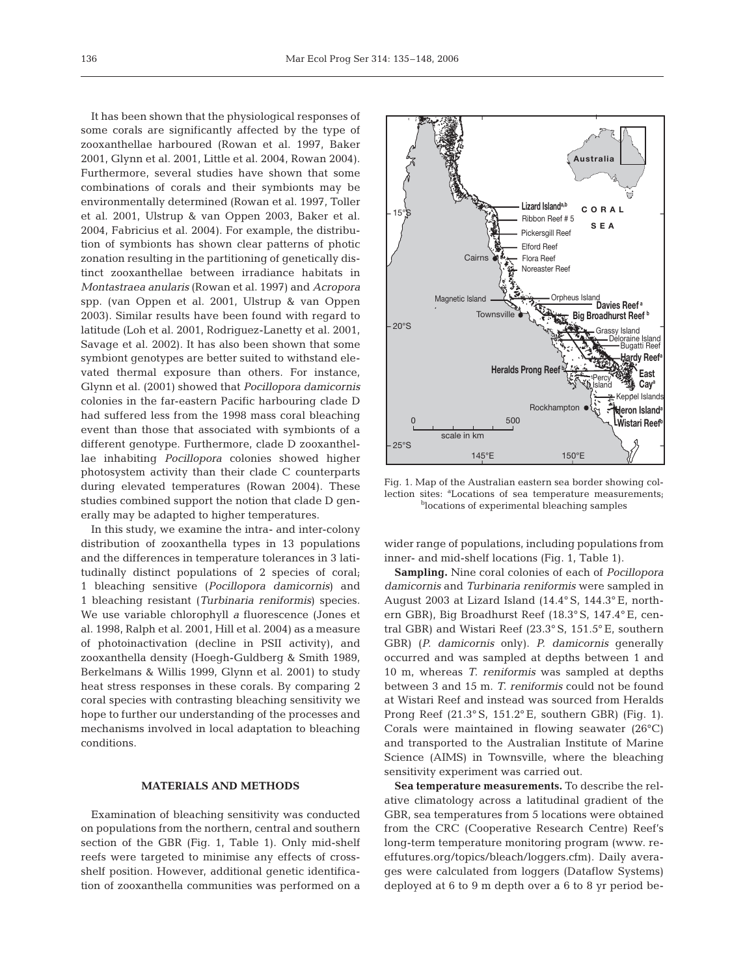It has been shown that the physiological responses of some corals are significantly affected by the type of zooxanthellae harboured (Rowan et al. 1997, Baker 2001, Glynn et al. 2001, Little et al. 2004, Rowan 2004). Furthermore, several studies have shown that some combinations of corals and their symbionts may be environmentally determined (Rowan et al. 1997, Toller et al. 2001, Ulstrup & van Oppen 2003, Baker et al. 2004, Fabricius et al. 2004). For example, the distribution of symbionts has shown clear patterns of photic zonation resulting in the partitioning of genetically distinct zooxanthellae between irradiance habitats in *Montastraea anularis* (Rowan et al. 1997) and *Acropora* spp. (van Oppen et al. 2001, Ulstrup & van Oppen 2003). Similar results have been found with regard to latitude (Loh et al. 2001, Rodriguez-Lanetty et al. 2001, Savage et al. 2002). It has also been shown that some symbiont genotypes are better suited to withstand elevated thermal exposure than others. For instance, Glynn et al. (2001) showed that *Pocillopora damicornis* colonies in the far-eastern Pacific harbouring clade D had suffered less from the 1998 mass coral bleaching event than those that associated with symbionts of a different genotype. Furthermore, clade D zooxanthellae inhabiting *Pocillopora* colonies showed higher photosystem activity than their clade C counterparts during elevated temperatures (Rowan 2004). These studies combined support the notion that clade D generally may be adapted to higher temperatures.

In this study, we examine the intra- and inter-colony distribution of zooxanthella types in 13 populations and the differences in temperature tolerances in 3 latitudinally distinct populations of 2 species of coral; 1 bleaching sensitive (*Pocillopora damicornis*) and 1 bleaching resistant (*Turbinaria reniformis*) species. We use variable chlorophyll *a* fluorescence (Jones et al. 1998, Ralph et al. 2001, Hill et al. 2004) as a measure of photoinactivation (decline in PSII activity), and zooxanthella density (Hoegh-Guldberg & Smith 1989, Berkelmans & Willis 1999, Glynn et al. 2001) to study heat stress responses in these corals. By comparing 2 coral species with contrasting bleaching sensitivity we hope to further our understanding of the processes and mechanisms involved in local adaptation to bleaching conditions.

## **MATERIALS AND METHODS**

Examination of bleaching sensitivity was conducted on populations from the northern, central and southern section of the GBR (Fig. 1, Table 1). Only mid-shelf reefs were targeted to minimise any effects of crossshelf position. However, additional genetic identification of zooxanthella communities was performed on a



Fig. 1. Map of the Australian eastern sea border showing collection sites: <sup>a</sup>Locations of sea temperature measurements; <sup>b</sup>locations of experimental bleaching samples

wider range of populations, including populations from inner- and mid-shelf locations (Fig. 1, Table 1).

**Sampling.** Nine coral colonies of each of *Pocillopora damicornis* and *Turbinaria reniformis* were sampled in August 2003 at Lizard Island (14.4° S, 144.3° E, northern GBR), Big Broadhurst Reef (18.3° S, 147.4° E, central GBR) and Wistari Reef (23.3° S, 151.5° E, southern GBR) (*P. damicornis* only). *P. damicornis* generally occurred and was sampled at depths between 1 and 10 m, whereas *T. reniformis* was sampled at depths between 3 and 15 m. *T. reniformis* could not be found at Wistari Reef and instead was sourced from Heralds Prong Reef (21.3° S, 151.2° E, southern GBR) (Fig. 1). Corals were maintained in flowing seawater (26°C) and transported to the Australian Institute of Marine Science (AIMS) in Townsville, where the bleaching sensitivity experiment was carried out.

**Sea temperature measurements.** To describe the relative climatology across a latitudinal gradient of the GBR, sea temperatures from 5 locations were obtained from the CRC (Cooperative Research Centre) Reef's long-term temperature monitoring program (www. reeffutures.org/topics/bleach/loggers.cfm). Daily averages were calculated from loggers (Dataflow Systems) deployed at 6 to 9 m depth over a 6 to 8 yr period be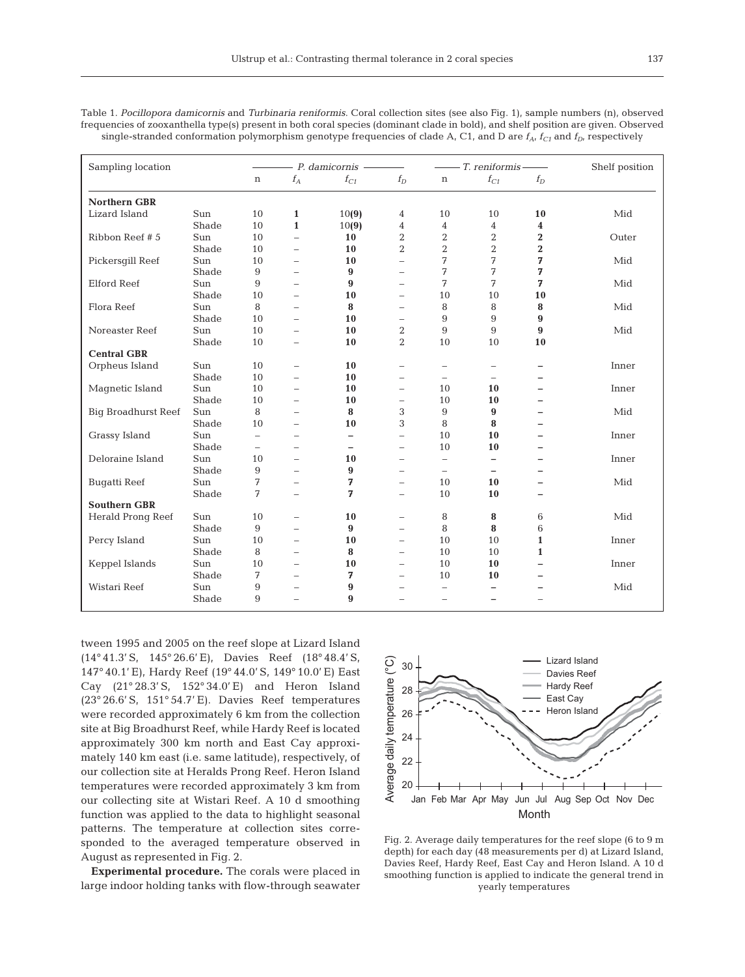Table 1. *Pocillopora damicornis* and *Turbinaria reniformis*. Coral collection sites (see also Fig. 1), sample numbers (n), observed frequencies of zooxanthella type(s) present in both coral species (dominant clade in bold), and shelf position are given. Observed single-stranded conformation polymorphism genotype frequencies of clade  $A<sub>t</sub> C1$ , and D are  $f<sub>A</sub>$ ,  $f<sub>C1</sub>$  and  $f<sub>D</sub>$ , respectively

| Sampling location          |              |                          |                          | $- P.$ damicornis $-$    |                          |                          | $-$ T. reniformis –      | Shelf position           |       |
|----------------------------|--------------|--------------------------|--------------------------|--------------------------|--------------------------|--------------------------|--------------------------|--------------------------|-------|
|                            |              | $\, {\rm n}$             | $f_{\cal A}$             | $f_{C1}$                 | $f_D$                    | $\mathbf n$              | $f_{C1}$                 | $f_D$                    |       |
| <b>Northern GBR</b>        |              |                          |                          |                          |                          |                          |                          |                          |       |
| Lizard Island              | Sun          | 10                       | $\mathbf{1}$             | 10(9)                    | 4                        | 10                       | 10                       | 10                       | Mid   |
|                            | Shade        | 10                       | $\mathbf{1}$             | 10(9)                    | $\overline{4}$           | 4                        | 4                        | 4                        |       |
| Ribbon Reef #5             | Sun          | 10                       | $\overline{\phantom{0}}$ | 10                       | $\overline{2}$           | 2                        | $\overline{2}$           | $\overline{2}$           | Outer |
|                            | Shade        | 10                       | $\overline{\phantom{0}}$ | 10                       | $\overline{2}$           | $\overline{2}$           | $\overline{2}$           | $\overline{2}$           |       |
| Pickersgill Reef           | Sun          | 10                       | $\equiv$                 | 10                       | $\overline{\phantom{0}}$ | 7                        | 7                        | 7                        | Mid   |
|                            | Shade        | 9                        | ÷                        | 9                        | $\equiv$                 | 7                        | 7                        | 7                        |       |
| <b>Elford Reef</b>         | Sun          | 9                        | $\overline{\phantom{0}}$ | 9                        | $\overline{\phantom{0}}$ | 7                        | 7                        | 7                        | Mid   |
|                            | Shade        | 10                       | $\overline{\phantom{0}}$ | 10                       | $\qquad \qquad -$        | 10                       | 10                       | 10                       |       |
| Flora Reef                 | Sun          | 8                        | ÷                        | 8                        | $\overline{\phantom{0}}$ | 8                        | 8                        | 8                        | Mid   |
|                            | Shade        | 10                       | $\overline{\phantom{0}}$ | 10                       | $\overline{\phantom{m}}$ | 9                        | 9                        | 9                        |       |
| Noreaster Reef             | Sun          | 10                       | $\equiv$                 | 10                       | $\overline{2}$           | 9                        | 9                        | 9                        | Mid   |
|                            | Shade        | 10                       | $\qquad \qquad -$        | 10                       | $\overline{2}$           | 10                       | 10                       | 10                       |       |
| <b>Central GBR</b>         |              |                          |                          |                          |                          |                          |                          |                          |       |
| Orpheus Island             | Sun          | 10                       | $\overline{\phantom{0}}$ | 10                       | $\overline{\phantom{0}}$ | $\overline{\phantom{0}}$ |                          | -                        | Inner |
|                            | Shade        | 10                       | $\overline{\phantom{0}}$ | 10                       | $\qquad \qquad -$        | $\overline{\phantom{0}}$ | $\overline{\phantom{0}}$ | $\equiv$                 |       |
| Magnetic Island            | Sun          | 10                       | $\overline{\phantom{0}}$ | 10                       | $\qquad \qquad -$        | 10                       | 10                       | $\overline{\phantom{0}}$ | Inner |
|                            | Shade        | 10                       | ÷                        | 10                       | $\qquad \qquad -$        | 10                       | 10                       | ÷                        |       |
| <b>Big Broadhurst Reef</b> | Sun          | 8                        | $\overline{\phantom{0}}$ | 8                        | 3                        | 9                        | $\boldsymbol{9}$         | $\overline{\phantom{0}}$ | Mid   |
|                            | Shade        | 10                       | $\overline{\phantom{0}}$ | 10                       | 3                        | 8                        | 8                        | $\overline{\phantom{0}}$ |       |
| Grassy Island              | Sun          | $\overline{\phantom{0}}$ | $\overline{\phantom{0}}$ | $\overline{\phantom{0}}$ | $\overline{\phantom{0}}$ | 10                       | 10                       | $\overline{\phantom{0}}$ | Inner |
|                            | Shade        | $\overline{\phantom{0}}$ | ÷                        | $\overline{\phantom{0}}$ | $\overline{\phantom{0}}$ | 10                       | 10                       | $\equiv$                 |       |
| Deloraine Island           |              | 10                       |                          | 10                       |                          |                          |                          |                          |       |
|                            | Sun<br>Shade |                          | $\overline{\phantom{0}}$ | 9                        | $\qquad \qquad -$        | $\overline{\phantom{0}}$ | $\overline{\phantom{0}}$ | $\overline{\phantom{0}}$ | Inner |
|                            |              | 9                        | $\overline{\phantom{0}}$ |                          | $\overline{\phantom{0}}$ | $\overline{\phantom{0}}$ | $\overline{\phantom{a}}$ | $\overline{\phantom{0}}$ |       |
| <b>Bugatti Reef</b>        | Sun          | 7                        | $\overline{\phantom{0}}$ | 7                        | $\qquad \qquad -$        | 10                       | 10                       | $\overline{\phantom{0}}$ | Mid   |
|                            | Shade        | 7                        | $\overline{\phantom{0}}$ | 7                        | $\equiv$                 | 10                       | 10                       | ÷                        |       |
| <b>Southern GBR</b>        |              |                          |                          |                          |                          |                          |                          |                          |       |
| Herald Prong Reef          | Sun          | 10                       | $\overline{\phantom{0}}$ | 10                       | $\overline{\phantom{0}}$ | 8                        | 8                        | 6                        | Mid   |
|                            | Shade        | 9                        | -                        | $\boldsymbol{9}$         | $\qquad \qquad -$        | 8                        | 8                        | 6                        |       |
| Percy Island               | Sun          | 10                       | $\overline{\phantom{0}}$ | 10                       | $\overline{\phantom{0}}$ | 10                       | 10                       | $\mathbf{1}$             | Inner |
|                            | Shade        | 8                        | -                        | 8                        | $\overline{\phantom{0}}$ | 10                       | 10                       | $\mathbf{1}$             |       |
| Keppel Islands             | Sun          | 10                       | $\overline{\phantom{0}}$ | 10                       | $\overline{\phantom{0}}$ | 10                       | 10                       | $\equiv$                 | Inner |
|                            | Shade        | 7                        |                          | 7                        | $\overline{\phantom{0}}$ | 10                       | 10                       |                          |       |
| Wistari Reef               | Sun          | 9                        | $\overline{\phantom{0}}$ | 9                        | $\overline{\phantom{0}}$ | $\overline{\phantom{0}}$ | $\overline{\phantom{0}}$ |                          | Mid   |
|                            | Shade        | 9                        |                          | 9                        | L.                       | $\overline{\phantom{0}}$ | $\overline{a}$           |                          |       |

tween 1995 and 2005 on the reef slope at Lizard Island (14° 41.3' S, 145° 26.6' E), Davies Reef (18° 48.4' S, 147° 40.1' E), Hardy Reef (19° 44.0' S, 149° 10.0' E) East Cay (21° 28.3' S, 152° 34.0' E) and Heron Island (23° 26.6' S, 151° 54.7' E). Davies Reef temperatures were recorded approximately 6 km from the collection site at Big Broadhurst Reef, while Hardy Reef is located approximately 300 km north and East Cay approximately 140 km east (i.e. same latitude), respectively, of our collection site at Heralds Prong Reef. Heron Island temperatures were recorded approximately 3 km from our collecting site at Wistari Reef. A 10 d smoothing function was applied to the data to highlight seasonal patterns. The temperature at collection sites corresponded to the averaged temperature observed in August as represented in Fig. 2.

**Experimental procedure.** The corals were placed in large indoor holding tanks with flow-through seawater



Fig. 2. Average daily temperatures for the reef slope (6 to 9 m depth) for each day (48 measurements per d) at Lizard Island, Davies Reef, Hardy Reef, East Cay and Heron Island. A 10 d smoothing function is applied to indicate the general trend in yearly temperatures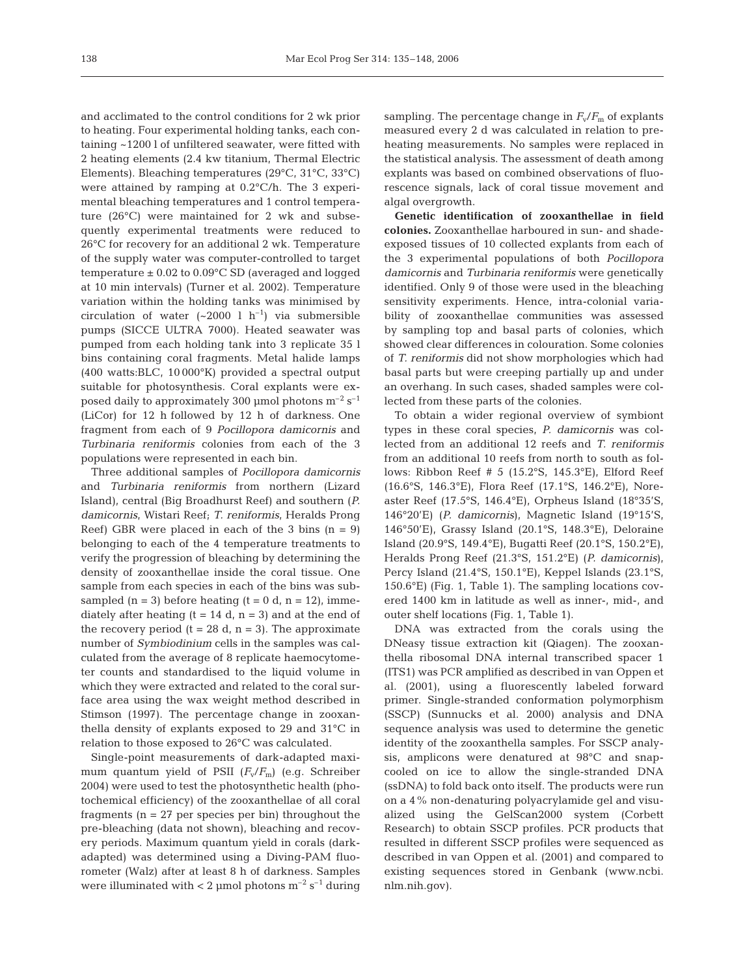and acclimated to the control conditions for 2 wk prior to heating. Four experimental holding tanks, each containing ~1200 l of unfiltered seawater, were fitted with 2 heating elements (2.4 kw titanium, Thermal Electric Elements). Bleaching temperatures (29°C, 31°C, 33°C) were attained by ramping at 0.2°C/h. The 3 experimental bleaching temperatures and 1 control temperature (26°C) were maintained for 2 wk and subsequently experimental treatments were reduced to 26°C for recovery for an additional 2 wk. Temperature of the supply water was computer-controlled to target temperature  $\pm$  0.02 to 0.09°C SD (averaged and logged at 10 min intervals) (Turner et al. 2002). Temperature variation within the holding tanks was minimised by circulation of water  $({\sim}2000 \; l \; h^{-1})$  via submersible pumps (SICCE ULTRA 7000). Heated seawater was pumped from each holding tank into 3 replicate 35 l bins containing coral fragments. Metal halide lamps (400 watts:BLC, 10 000°K) provided a spectral output suitable for photosynthesis. Coral explants were exposed daily to approximately 300 µmol photons  $m^{-2}$  s<sup>-1</sup> (LiCor) for 12 h followed by 12 h of darkness. One fragment from each of 9 *Pocillopora damicornis* and *Turbinaria reniformis* colonies from each of the 3 populations were represented in each bin.

Three additional samples of *Pocillopora damicornis* and *Turbinaria reniformis* from northern (Lizard Island), central (Big Broadhurst Reef) and southern (*P. damicornis*, Wistari Reef; *T. reniformis*, Heralds Prong Reef) GBR were placed in each of the 3 bins  $(n = 9)$ belonging to each of the 4 temperature treatments to verify the progression of bleaching by determining the density of zooxanthellae inside the coral tissue. One sample from each species in each of the bins was subsampled  $(n = 3)$  before heating  $(t = 0 d, n = 12)$ , immediately after heating  $(t = 14 d, n = 3)$  and at the end of the recovery period  $(t = 28 d, n = 3)$ . The approximate number of *Symbiodinium* cells in the samples was calculated from the average of 8 replicate haemocytometer counts and standardised to the liquid volume in which they were extracted and related to the coral surface area using the wax weight method described in Stimson (1997). The percentage change in zooxanthella density of explants exposed to 29 and 31°C in relation to those exposed to 26°C was calculated.

Single-point measurements of dark-adapted maximum quantum yield of PSII  $(F_v/F_m)$  (e.g. Schreiber 2004) were used to test the photosynthetic health (photochemical efficiency) of the zooxanthellae of all coral fragments ( $n = 27$  per species per bin) throughout the pre-bleaching (data not shown), bleaching and recovery periods. Maximum quantum yield in corals (darkadapted) was determined using a Diving-PAM fluorometer (Walz) after at least 8 h of darkness. Samples were illuminated with  $< 2 \mu$ mol photons m<sup>-2</sup> s<sup>-1</sup> during

sampling. The percentage change in  $F_v/F_m$  of explants measured every 2 d was calculated in relation to preheating measurements. No samples were replaced in the statistical analysis. The assessment of death among explants was based on combined observations of fluorescence signals, lack of coral tissue movement and algal overgrowth.

**Genetic identification of zooxanthellae in field colonies.** Zooxanthellae harboured in sun- and shadeexposed tissues of 10 collected explants from each of the 3 experimental populations of both *Pocillopora damicornis* and *Turbinaria reniformis* were genetically identified. Only 9 of those were used in the bleaching sensitivity experiments. Hence, intra-colonial variability of zooxanthellae communities was assessed by sampling top and basal parts of colonies, which showed clear differences in colouration. Some colonies of *T. reniformis* did not show morphologies which had basal parts but were creeping partially up and under an overhang. In such cases, shaded samples were collected from these parts of the colonies.

To obtain a wider regional overview of symbiont types in these coral species, *P. damicornis* was collected from an additional 12 reefs and *T. reniformis* from an additional 10 reefs from north to south as follows: Ribbon Reef # 5 (15.2°S, 145.3°E), Elford Reef (16.6°S, 146.3°E), Flora Reef (17.1°S, 146.2°E), Noreaster Reef (17.5°S, 146.4°E), Orpheus Island (18°35'S, 146°20'E) (*P. damicornis*), Magnetic Island (19°15'S, 146°50'E), Grassy Island (20.1°S, 148.3°E), Deloraine Island (20.9°S, 149.4°E), Bugatti Reef (20.1°S, 150.2°E), Heralds Prong Reef (21.3°S, 151.2°E) (*P. damicornis*), Percy Island (21.4°S, 150.1°E), Keppel Islands (23.1°S, 150.6°E) (Fig. 1, Table 1). The sampling locations covered 1400 km in latitude as well as inner-, mid-, and outer shelf locations (Fig. 1, Table 1).

DNA was extracted from the corals using the DNeasy tissue extraction kit (Qiagen). The zooxanthella ribosomal DNA internal transcribed spacer 1 (ITS1) was PCR amplified as described in van Oppen et al. (2001), using a fluorescently labeled forward primer. Single-stranded conformation polymorphism (SSCP) (Sunnucks et al. 2000) analysis and DNA sequence analysis was used to determine the genetic identity of the zooxanthella samples. For SSCP analysis, amplicons were denatured at 98°C and snapcooled on ice to allow the single-stranded DNA (ssDNA) to fold back onto itself. The products were run on a 4% non-denaturing polyacrylamide gel and visualized using the GelScan2000 system (Corbett Research) to obtain SSCP profiles. PCR products that resulted in different SSCP profiles were sequenced as described in van Oppen et al. (2001) and compared to existing sequences stored in Genbank (www.ncbi. nlm.nih.gov).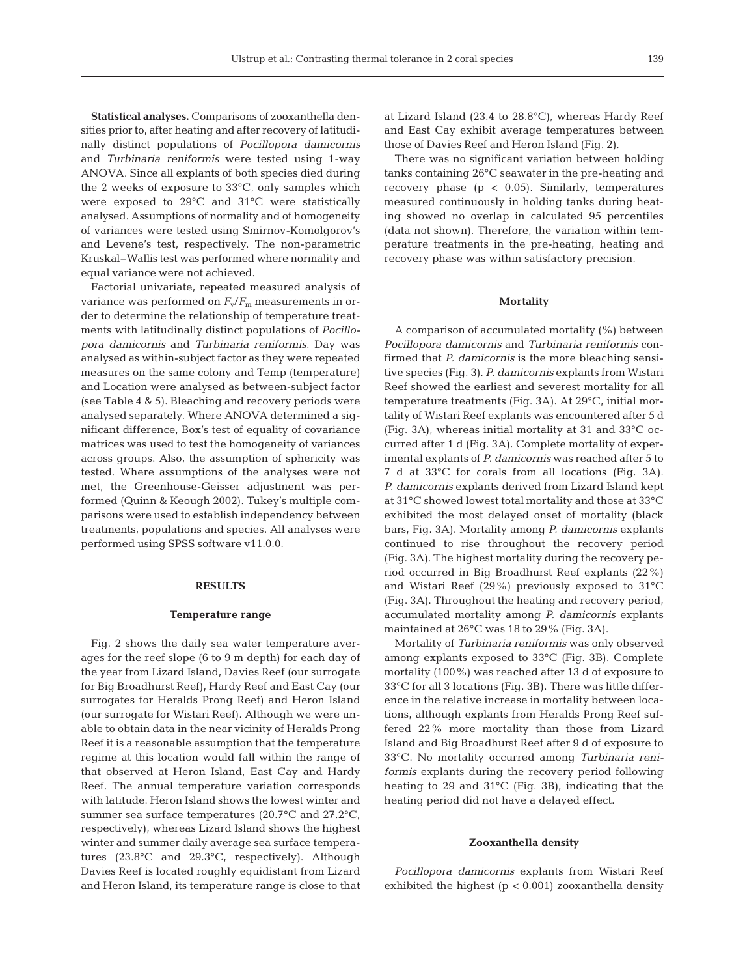**Statistical analyses.** Comparisons of zooxanthella densities prior to, after heating and after recovery of latitudinally distinct populations of *Pocillopora damicornis* and *Turbinaria reniformis* were tested using 1-way ANOVA. Since all explants of both species died during the 2 weeks of exposure to 33°C, only samples which were exposed to 29°C and 31°C were statistically analysed. Assumptions of normality and of homogeneity of variances were tested using Smirnov-Komolgorov's and Levene's test, respectively. The non-parametric Kruskal–Wallis test was performed where normality and equal variance were not achieved.

Factorial univariate, repeated measured analysis of variance was performed on  $F_v/F_m$  measurements in order to determine the relationship of temperature treatments with latitudinally distinct populations of *Pocillopora damicornis* and *Turbinaria reniformis*. Day was analysed as within-subject factor as they were repeated measures on the same colony and Temp (temperature) and Location were analysed as between-subject factor (see Table 4 & 5). Bleaching and recovery periods were analysed separately. Where ANOVA determined a significant difference, Box's test of equality of covariance matrices was used to test the homogeneity of variances across groups. Also, the assumption of sphericity was tested. Where assumptions of the analyses were not met, the Greenhouse-Geisser adjustment was performed (Quinn & Keough 2002). Tukey's multiple comparisons were used to establish independency between treatments, populations and species. All analyses were performed using SPSS software v11.0.0.

### **RESULTS**

## **Temperature range**

Fig. 2 shows the daily sea water temperature averages for the reef slope (6 to 9 m depth) for each day of the year from Lizard Island, Davies Reef (our surrogate for Big Broadhurst Reef), Hardy Reef and East Cay (our surrogates for Heralds Prong Reef) and Heron Island (our surrogate for Wistari Reef). Although we were unable to obtain data in the near vicinity of Heralds Prong Reef it is a reasonable assumption that the temperature regime at this location would fall within the range of that observed at Heron Island, East Cay and Hardy Reef. The annual temperature variation corresponds with latitude. Heron Island shows the lowest winter and summer sea surface temperatures (20.7°C and 27.2°C, respectively), whereas Lizard Island shows the highest winter and summer daily average sea surface temperatures (23.8°C and 29.3°C, respectively). Although Davies Reef is located roughly equidistant from Lizard and Heron Island, its temperature range is close to that

at Lizard Island (23.4 to 28.8°C), whereas Hardy Reef and East Cay exhibit average temperatures between those of Davies Reef and Heron Island (Fig. 2).

There was no significant variation between holding tanks containing 26°C seawater in the pre-heating and recovery phase  $(p < 0.05)$ . Similarly, temperatures measured continuously in holding tanks during heating showed no overlap in calculated 95 percentiles (data not shown). Therefore, the variation within temperature treatments in the pre-heating, heating and recovery phase was within satisfactory precision.

### **Mortality**

A comparison of accumulated mortality (%) between *Pocillopora damicornis* and *Turbinaria reniformis* confirmed that *P. damicornis* is the more bleaching sensitive species (Fig. 3). *P. damicornis* explants from Wistari Reef showed the earliest and severest mortality for all temperature treatments (Fig. 3A). At 29°C, initial mortality of Wistari Reef explants was encountered after 5 d (Fig. 3A), whereas initial mortality at 31 and 33°C occurred after 1 d (Fig. 3A). Complete mortality of experimental explants of *P. damicornis* was reached after 5 to 7 d at 33°C for corals from all locations (Fig. 3A). *P. damicornis* explants derived from Lizard Island kept at 31°C showed lowest total mortality and those at 33°C exhibited the most delayed onset of mortality (black bars, Fig. 3A). Mortality among *P. damicornis* explants continued to rise throughout the recovery period (Fig. 3A). The highest mortality during the recovery period occurred in Big Broadhurst Reef explants (22%) and Wistari Reef (29%) previously exposed to 31°C (Fig. 3A). Throughout the heating and recovery period, accumulated mortality among *P. damicornis* explants maintained at 26°C was 18 to 29% (Fig. 3A).

Mortality of *Turbinaria reniformis* was only observed among explants exposed to 33°C (Fig. 3B). Complete mortality (100%) was reached after 13 d of exposure to 33°C for all 3 locations (Fig. 3B). There was little difference in the relative increase in mortality between locations, although explants from Heralds Prong Reef suffered 22% more mortality than those from Lizard Island and Big Broadhurst Reef after 9 d of exposure to 33°C. No mortality occurred among *Turbinaria reniformis* explants during the recovery period following heating to 29 and 31°C (Fig. 3B), indicating that the heating period did not have a delayed effect.

#### **Zooxanthella density**

*Pocillopora damicornis* explants from Wistari Reef exhibited the highest  $(p < 0.001)$  zooxanthella density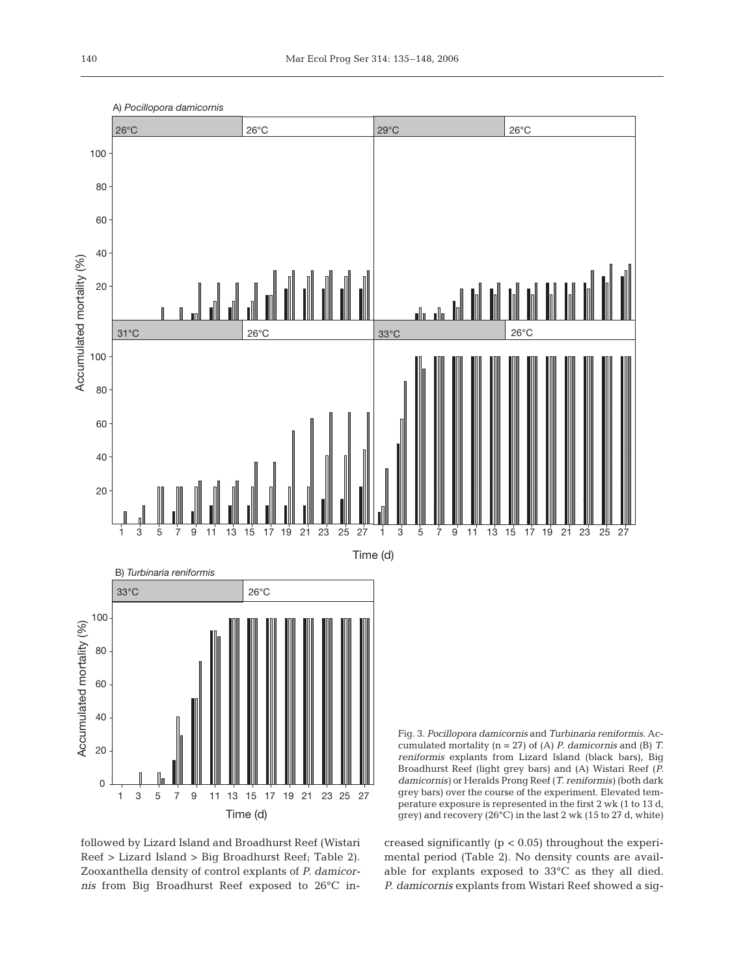

followed by Lizard Island and Broadhurst Reef (Wistari Reef > Lizard Island > Big Broadhurst Reef; Table 2). Zooxanthella density of control explants of *P. damicornis* from Big Broadhurst Reef exposed to 26°C increased significantly  $(p < 0.05)$  throughout the experimental period (Table 2). No density counts are available for explants exposed to 33°C as they all died. *P. damicornis* explants from Wistari Reef showed a sig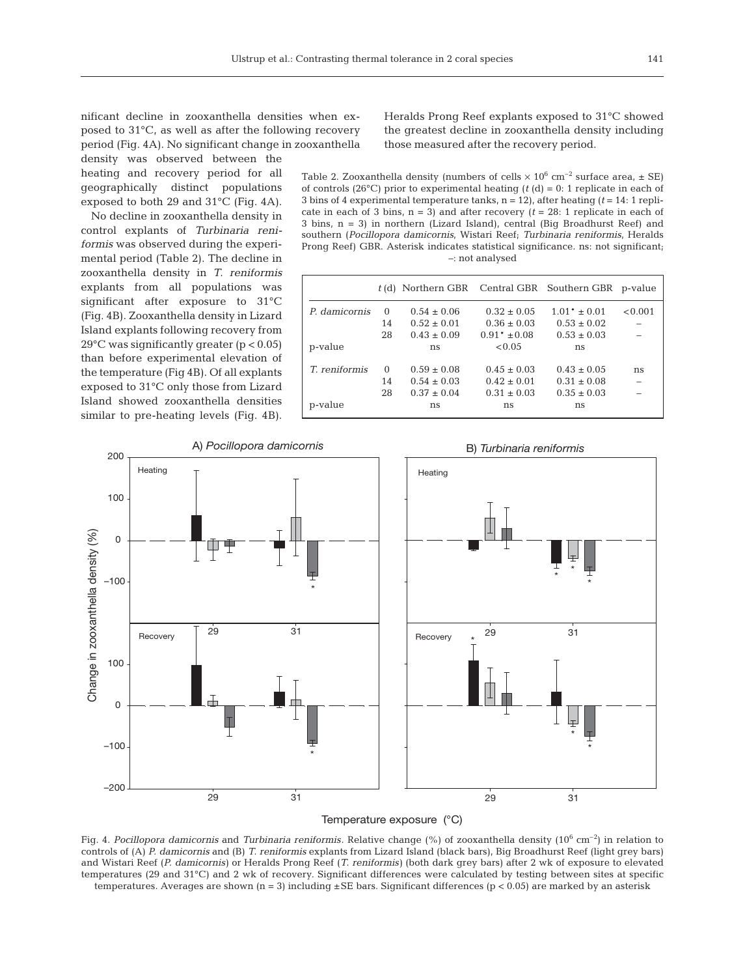nificant decline in zooxanthella densities when exposed to 31°C, as well as after the following recovery period (Fig. 4A). No significant change in zooxanthella density was observed between the

heating and recovery period for all geographically distinct populations exposed to both 29 and 31°C (Fig. 4A).

No decline in zooxanthella density in control explants of *Turbinaria reniformis* was observed during the experimental period (Table 2). The decline in zooxanthella density in *T. reniformis* explants from all populations was significant after exposure to 31°C (Fig. 4B). Zooxanthella density in Lizard Island explants following recovery from 29°C was significantly greater (p < 0.05) than before experimental elevation of the temperature (Fig 4B). Of all explants exposed to 31°C only those from Lizard Island showed zooxanthella densities similar to pre-heating levels (Fig. 4B). Heralds Prong Reef explants exposed to 31°C showed the greatest decline in zooxanthella density including those measured after the recovery period.

Table 2. Zooxanthella density (numbers of cells  $\times$  10<sup>6</sup> cm<sup>-2</sup> surface area,  $\pm$  SE) of controls (26 $^{\circ}$ C) prior to experimental heating (*t* (d) = 0: 1 replicate in each of 3 bins of 4 experimental temperature tanks,  $n = 12$ ), after heating ( $t = 14$ : 1 replicate in each of 3 bins,  $n = 3$ ) and after recovery ( $t = 28$ : 1 replicate in each of 3 bins, n = 3) in northern (Lizard Island), central (Big Broadhurst Reef) and southern (*Pocillopora damicornis*, Wistari Reef; *Turbinaria reniformis*, Heralds Prong Reef) GBR. Asterisk indicates statistical significance. ns: not significant; –: not analysed

|               |          | t (d) Northern GBR Central GBR Southern GBR p-value |                  |                  |         |
|---------------|----------|-----------------------------------------------------|------------------|------------------|---------|
| P. damicornis | $\Omega$ | $0.54 \pm 0.06$                                     | $0.32 \pm 0.05$  | $1.01* \pm 0.01$ | < 0.001 |
|               | 14       | $0.52 \pm 0.01$                                     | $0.36 \pm 0.03$  | $0.53 \pm 0.02$  |         |
|               | 28       | $0.43 \pm 0.09$                                     | $0.91* \pm 0.08$ | $0.53 \pm 0.03$  |         |
| p-value       |          | ns                                                  | < 0.05           | ns               |         |
| T. reniformis | $\Omega$ | $0.59 \pm 0.08$                                     | $0.45 \pm 0.03$  | $0.43 \pm 0.05$  | ns      |
|               | 14       | $0.54 \pm 0.03$                                     | $0.42 \pm 0.01$  | $0.31 \pm 0.08$  |         |
|               | 28       | $0.37 \pm 0.04$                                     | $0.31 \pm 0.03$  | $0.35 \pm 0.03$  |         |
| p-value       |          | ns                                                  | ns               | ns               |         |



Fig. 4. *Pocillopora damicornis* and *Turbinaria reniformis*. Relative change (%) of zooxanthella density (10<sup>6</sup> cm<sup>-2</sup>) in relation to controls of (A) *P. damicornis* and (B) *T. reniformis* explants from Lizard Island (black bars), Big Broadhurst Reef (light grey bars) and Wistari Reef (*P. damicornis)* or Heralds Prong Reef (*T. reniformis)* (both dark grey bars) after 2 wk of exposure to elevated temperatures (29 and 31°C) and 2 wk of recovery. Significant differences were calculated by testing between sites at specific temperatures. Averages are shown (n = 3) including  $\pm$  SE bars. Significant differences (p < 0.05) are marked by an asterisk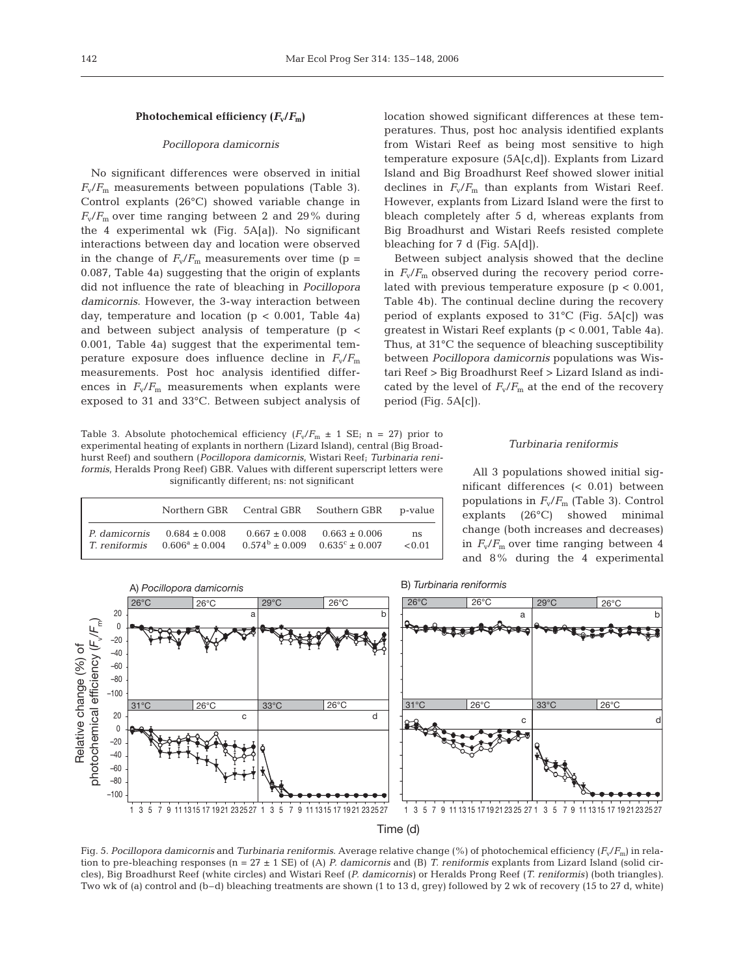# Photochemical efficiency  $(F_v/F_m)$

## *Pocillopora damicornis*

No significant differences were observed in initial  $F_v/F_m$  measurements between populations (Table 3). Control explants (26°C) showed variable change in  $F_v/F_m$  over time ranging between 2 and 29% during the 4 experimental wk (Fig. 5A[a]). No significant interactions between day and location were observed in the change of  $F_v/F_m$  measurements over time (p = 0.087, Table 4a) suggesting that the origin of explants did not influence the rate of bleaching in *Pocillopora damicornis*. However, the 3-way interaction between day, temperature and location ( $p < 0.001$ , Table 4a) and between subject analysis of temperature (p < 0.001, Table 4a) suggest that the experimental temperature exposure does influence decline in  $F_v/F_m$ measurements. Post hoc analysis identified differences in  $F_v/F_m$  measurements when explants were exposed to 31 and 33°C. Between subject analysis of

Table 3. Absolute photochemical efficiency  $(F_v/F_m \pm 1 \text{ SE}; \text{ n = 27})$  prior to experimental heating of explants in northern (Lizard Island), central (Big Broadhurst Reef) and southern (*Pocillopora damicornis*, Wistari Reef; *Turbinaria reniformis*, Heralds Prong Reef) GBR. Values with different superscript letters were significantly different; ns: not significant

*P. damicornis*  $0.684 \pm 0.008$   $0.667 \pm 0.008$   $0.663 \pm 0.006$  ns<br> *T. reniformis*  $0.606^a \pm 0.004$   $0.574^b \pm 0.009$   $0.635^c \pm 0.007$  < 0.0 *T. reniformis*  $0.606^a \pm 0.004$   $0.574^b \pm 0.009$   $0.635^c \pm 0.007$  <0.01

Northern GBR Central GBR Southern GBR p-value

| location showed significant differences at these tem-   |
|---------------------------------------------------------|
| peratures. Thus, post hoc analysis identified explants  |
| from Wistari Reef as being most sensitive to high       |
| temperature exposure $(5A[c,d])$ . Explants from Lizard |
| Island and Big Broadhurst Reef showed slower initial    |
| declines in $F_v/F_m$ than explants from Wistari Reef.  |
| However, explants from Lizard Island were the first to  |
| bleach completely after 5 d, whereas explants from      |
| Big Broadhurst and Wistari Reefs resisted complete      |
| bleaching for $7 d$ (Fig. $5A[d]$ ).                    |

Between subject analysis showed that the decline in  $F_v/F_m$  observed during the recovery period correlated with previous temperature exposure  $(p < 0.001)$ , Table 4b). The continual decline during the recovery period of explants exposed to 31°C (Fig. 5A[c]) was greatest in Wistari Reef explants (p < 0.001, Table 4a). Thus, at 31°C the sequence of bleaching susceptibility between *Pocillopora damicornis* populations was Wistari Reef > Big Broadhurst Reef > Lizard Island as indicated by the level of  $F_v/F_m$  at the end of the recovery period (Fig. 5A[c]).

## *Turbinaria reniformis*

All 3 populations showed initial significant differences (< 0.01) between populations in  $F_v/F_m$  (Table 3). Control explants (26°C) showed minimal change (both increases and decreases) in  $F_v/F_m$  over time ranging between 4 and 8% during the 4 experimental



Fig. 5. *Pocillopora damicornis* and *Turbinaria reniformis*. Average relative change (%) of photochemical efficiency (*F*v/*F*m) in relation to pre-bleaching responses (n = 27 ± 1 SE) of (A) *P. damicornis* and (B) *T. reniformis* explants from Lizard Island (solid circles), Big Broadhurst Reef (white circles) and Wistari Reef (*P. damicornis)* or Heralds Prong Reef (*T. reniformis)* (both triangles*)*. Two wk of (a) control and (b–d) bleaching treatments are shown (1 to 13 d, grey) followed by 2 wk of recovery (15 to 27 d, white)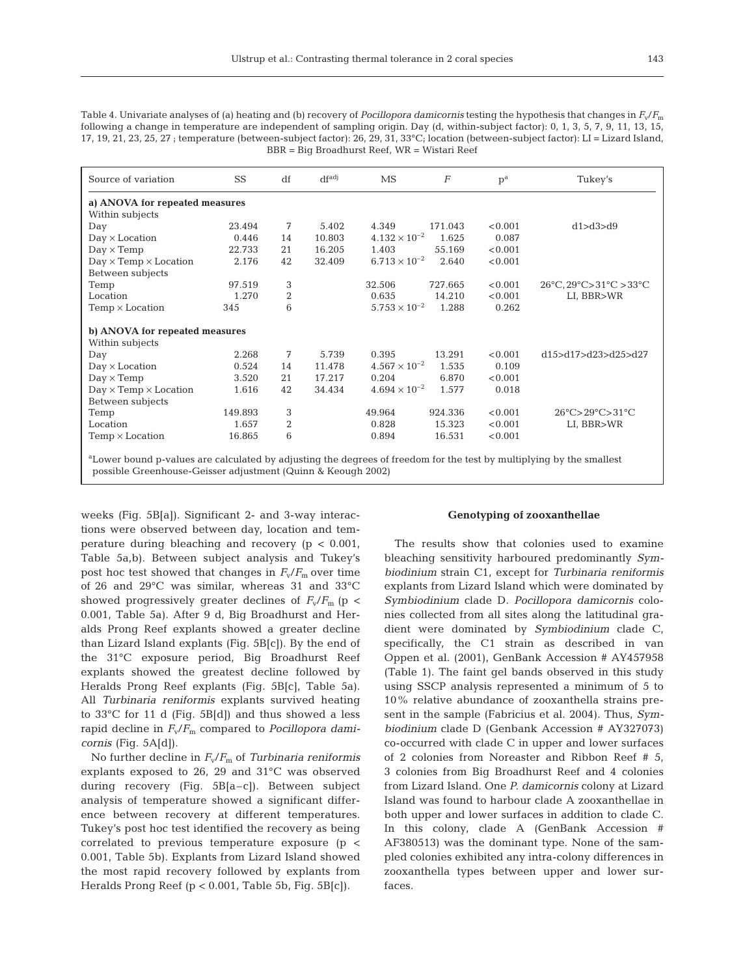Table 4. Univariate analyses of (a) heating and (b) recovery of *Pocillopora damicornis* testing the hypothesis that changes in *F*v/*F*<sup>m</sup> following a change in temperature are independent of sampling origin. Day (d, within-subject factor): 0, 1, 3, 5, 7, 9, 11, 13, 15, 17, 19, 21, 23, 25, 27 ; temperature (between-subject factor): 26, 29, 31, 33°C; location (between-subject factor): LI = Lizard Island, BBR = Big Broadhurst Reef, WR = Wistari Reef

| Source of variation                                                                                                              | <b>SS</b> | df               | df <sub>adj</sub> | <b>MS</b>              | $\boldsymbol{F}$ | $\mathbf{p}^{\text{a}}$ | Tukey's                                                         |
|----------------------------------------------------------------------------------------------------------------------------------|-----------|------------------|-------------------|------------------------|------------------|-------------------------|-----------------------------------------------------------------|
| a) ANOVA for repeated measures                                                                                                   |           |                  |                   |                        |                  |                         |                                                                 |
| Within subjects                                                                                                                  |           |                  |                   |                        |                  |                         |                                                                 |
| Day                                                                                                                              | 23.494    | 7                | 5.402             | 4.349                  | 171.043          | < 0.001                 | d1 > d3 > d9                                                    |
| $Day \times Location$                                                                                                            | 0.446     | 14               | 10.803            | $4.132 \times 10^{-2}$ | 1.625            | 0.087                   |                                                                 |
| $Day \times Temp$                                                                                                                | 22.733    | 21               | 16.205            | 1.403                  | 55.169           | < 0.001                 |                                                                 |
| $Day \times Temp \times Location$                                                                                                | 2.176     | 42               | 32.409            | $6.713 \times 10^{-2}$ | 2.640            | < 0.001                 |                                                                 |
| Between subjects                                                                                                                 |           |                  |                   |                        |                  |                         |                                                                 |
| Temp                                                                                                                             | 97.519    | 3                |                   | 32.506                 | 727.665          | < 0.001                 | $26^{\circ}$ C, $29^{\circ}$ C> $31^{\circ}$ C > $33^{\circ}$ C |
| Location                                                                                                                         | 1.270     | $\boldsymbol{2}$ |                   | 0.635                  | 14.210           | < 0.001                 | LI, BBR>WR                                                      |
| $Temp \times Location$                                                                                                           | 345       | 6                |                   | $5.753 \times 10^{-2}$ | 1.288            | 0.262                   |                                                                 |
| b) ANOVA for repeated measures                                                                                                   |           |                  |                   |                        |                  |                         |                                                                 |
| Within subjects                                                                                                                  |           |                  |                   |                        |                  |                         |                                                                 |
| Day                                                                                                                              | 2.268     | 7                | 5.739             | 0.395                  | 13.291           | < 0.001                 | d15>d17>d23>d25>d27                                             |
| $Day \times Location$                                                                                                            | 0.524     | 14               | 11.478            | $4.567 \times 10^{-2}$ | 1.535            | 0.109                   |                                                                 |
| $Day \times Temp$                                                                                                                | 3.520     | 21               | 17.217            | 0.204                  | 6.870            | < 0.001                 |                                                                 |
| $Day \times Temp \times Location$                                                                                                | 1.616     | 42               | 34.434            | $4.694 \times 10^{-2}$ | 1.577            | 0.018                   |                                                                 |
| Between subjects                                                                                                                 |           |                  |                   |                        |                  |                         |                                                                 |
| Temp                                                                                                                             | 149.893   | 3                |                   | 49.964                 | 924.336          | < 0.001                 | $26^{\circ}$ C> $29^{\circ}$ C> $31^{\circ}$ C                  |
| Location                                                                                                                         | 1.657     | $\boldsymbol{2}$ |                   | 0.828                  | 15.323           | < 0.001                 | LI, BBR>WR                                                      |
| $Temp \times Location$                                                                                                           | 16.865    | 6                |                   | 0.894                  | 16.531           | < 0.001                 |                                                                 |
| <sup>a</sup> Lower bound p-values are calculated by adjusting the degrees of freedom for the test by multiplying by the smallest |           |                  |                   |                        |                  |                         |                                                                 |

possible Greenhouse-Geisser adjustment (Quinn & Keough 2002)

weeks (Fig. 5B[a]). Significant 2- and 3-way interactions were observed between day, location and temperature during bleaching and recovery (p < 0.001, Table 5a,b). Between subject analysis and Tukey's post hoc test showed that changes in  $F_v/F_m$  over time of 26 and 29°C was similar, whereas 31 and 33°C showed progressively greater declines of  $F_v/F_m$  (p < 0.001, Table 5a). After 9 d, Big Broadhurst and Heralds Prong Reef explants showed a greater decline than Lizard Island explants (Fig. 5B[c]). By the end of the 31°C exposure period, Big Broadhurst Reef explants showed the greatest decline followed by Heralds Prong Reef explants (Fig. 5B[c], Table 5a). All *Turbinaria reniformis* explants survived heating to 33°C for 11 d (Fig. 5B[d]) and thus showed a less rapid decline in *F*v/*F*<sup>m</sup> compared to *Pocillopora damicornis* (Fig. 5A[d]).

No further decline in *F*v/*F*<sup>m</sup> of *Turbinaria reniformis* explants exposed to 26, 29 and 31°C was observed during recovery (Fig. 5B[a–c]). Between subject analysis of temperature showed a significant difference between recovery at different temperatures. Tukey's post hoc test identified the recovery as being correlated to previous temperature exposure (p < 0.001, Table 5b). Explants from Lizard Island showed the most rapid recovery followed by explants from Heralds Prong Reef (p < 0.001, Table 5b, Fig. 5B[c]).

## **Genotyping of zooxanthellae**

The results show that colonies used to examine bleaching sensitivity harboured predominantly *Symbiodinium* strain C1, except for *Turbinaria reniformis* explants from Lizard Island which were dominated by *Symbiodinium* clade D. *Pocillopora damicornis* colonies collected from all sites along the latitudinal gradient were dominated by *Symbiodinium* clade C, specifically, the C1 strain as described in van Oppen et al. (2001), GenBank Accession # AY457958 (Table 1). The faint gel bands observed in this study using SSCP analysis represented a minimum of 5 to 10% relative abundance of zooxanthella strains present in the sample (Fabricius et al. 2004). Thus, *Symbiodinium* clade D (Genbank Accession # AY327073) co-occurred with clade C in upper and lower surfaces of 2 colonies from Noreaster and Ribbon Reef # 5, 3 colonies from Big Broadhurst Reef and 4 colonies from Lizard Island. One *P. damicornis* colony at Lizard Island was found to harbour clade A zooxanthellae in both upper and lower surfaces in addition to clade C. In this colony, clade A (GenBank Accession # AF380513) was the dominant type. None of the sampled colonies exhibited any intra-colony differences in zooxanthella types between upper and lower surfaces.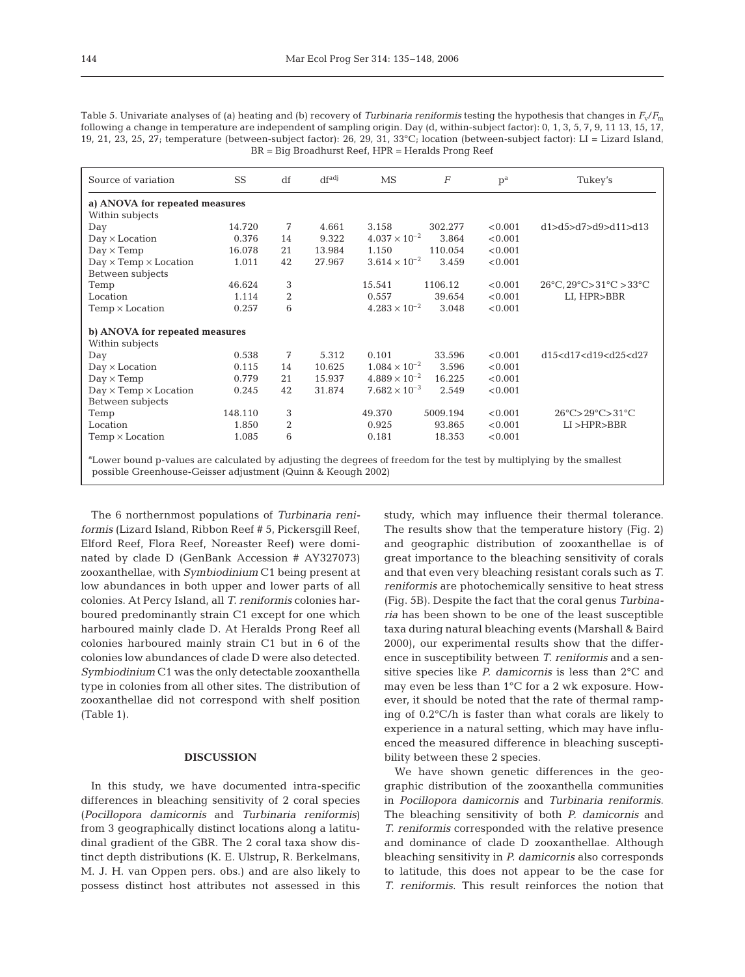|                                   |         | df | df <sub>adj</sub> | MS                     | $\overline{F}$ | $p^a$   | Tukey's                                                         |
|-----------------------------------|---------|----|-------------------|------------------------|----------------|---------|-----------------------------------------------------------------|
| a) ANOVA for repeated measures    |         |    |                   |                        |                |         |                                                                 |
| Within subjects                   |         |    |                   |                        |                |         |                                                                 |
| Day                               | 14.720  | 7  | 4.661             | 3.158                  | 302.277        | < 0.001 | d1>d5>d7>d9>d11>d13                                             |
| $Day \times Location$             | 0.376   | 14 | 9.322             | $4.037 \times 10^{-2}$ | 3.864          | < 0.001 |                                                                 |
| $Day \times Temp$                 | 16.078  | 21 | 13.984            | 1.150                  | 110.054        | < 0.001 |                                                                 |
| $Day \times Temp \times Location$ | 1.011   | 42 | 27.967            | $3.614 \times 10^{-2}$ | 3.459          | < 0.001 |                                                                 |
| Between subjects                  |         |    |                   |                        |                |         |                                                                 |
| Temp                              | 46.624  | 3  |                   | 15.541                 | 1106.12        | < 0.001 | $26^{\circ}$ C, $29^{\circ}$ C> $31^{\circ}$ C > $33^{\circ}$ C |
| Location                          | 1.114   | 2  |                   | 0.557                  | 39.654         | < 0.001 | LI, HPR>BBR                                                     |
| $Temp \times Location$            | 0.257   | 6  |                   | $4.283 \times 10^{-2}$ | 3.048          | < 0.001 |                                                                 |
| b) ANOVA for repeated measures    |         |    |                   |                        |                |         |                                                                 |
| Within subjects                   |         |    |                   |                        |                |         |                                                                 |
| Day                               | 0.538   | 7  | 5.312             | 0.101                  | 33.596         | < 0.001 | d15 <d17<d19<d25<d27< td=""></d17<d19<d25<d27<>                 |
| $Day \times Location$             | 0.115   | 14 | 10.625            | $1.084 \times 10^{-2}$ | 3.596          | < 0.001 |                                                                 |
| $Day \times Temp$                 | 0.779   | 21 | 15.937            | $4.889 \times 10^{-2}$ | 16.225         | < 0.001 |                                                                 |
| $Day \times Temp \times Location$ | 0.245   | 42 | 31.874            | $7.682 \times 10^{-3}$ | 2.549          | < 0.001 |                                                                 |
| Between subjects                  |         |    |                   |                        |                |         |                                                                 |
| Temp                              | 148.110 | 3  |                   | 49.370                 | 5009.194       | < 0.001 | $26^{\circ}$ C> $29^{\circ}$ C> $31^{\circ}$ C                  |
| Location                          | 1.850   | 2  |                   | 0.925                  | 93.865         | < 0.001 | LI > HPR > BBR                                                  |
| $Temp \times Location$            | 1.085   | 6  |                   | 0.181                  | 18.353         | < 0.001 |                                                                 |

Table 5. Univariate analyses of (a) heating and (b) recovery of *Turbinaria reniformis* testing the hypothesis that changes in *F*v/*F*<sup>m</sup> following a change in temperature are independent of sampling origin. Day (d, within-subject factor): 0, 1, 3, 5, 7, 9, 11 13, 15, 17, 19, 21, 23, 25, 27; temperature (between-subject factor): 26, 29, 31, 33°C; location (between-subject factor): LI = Lizard Island, BR = Big Broadhurst Reef, HPR = Heralds Prong Reef

The 6 northernmost populations of *Turbinaria reniformis* (Lizard Island, Ribbon Reef # 5, Pickersgill Reef, Elford Reef, Flora Reef, Noreaster Reef) were dominated by clade D (GenBank Accession # AY327073) zooxanthellae, with *Symbiodinium* C1 being present at low abundances in both upper and lower parts of all colonies. At Percy Island, all *T. reniformis* colonies harboured predominantly strain C1 except for one which harboured mainly clade D. At Heralds Prong Reef all colonies harboured mainly strain C1 but in 6 of the colonies low abundances of clade D were also detected. *Symbiodinium* C1 was the only detectable zooxanthella type in colonies from all other sites. The distribution of zooxanthellae did not correspond with shelf position (Table 1).

## **DISCUSSION**

In this study, we have documented intra-specific differences in bleaching sensitivity of 2 coral species (*Pocillopora damicornis* and *Turbinaria reniformis*) from 3 geographically distinct locations along a latitudinal gradient of the GBR. The 2 coral taxa show distinct depth distributions (K. E. Ulstrup, R. Berkelmans, M. J. H. van Oppen pers. obs.) and are also likely to possess distinct host attributes not assessed in this

study, which may influence their thermal tolerance. The results show that the temperature history (Fig. 2) and geographic distribution of zooxanthellae is of great importance to the bleaching sensitivity of corals and that even very bleaching resistant corals such as *T. reniformis* are photochemically sensitive to heat stress (Fig. 5B). Despite the fact that the coral genus *Turbinaria* has been shown to be one of the least susceptible taxa during natural bleaching events (Marshall & Baird 2000), our experimental results show that the difference in susceptibility between *T. reniformis* and a sensitive species like *P. damicornis* is less than 2°C and may even be less than 1°C for a 2 wk exposure. However, it should be noted that the rate of thermal ramping of 0.2°C/h is faster than what corals are likely to experience in a natural setting, which may have influenced the measured difference in bleaching susceptibility between these 2 species.

We have shown genetic differences in the geographic distribution of the zooxanthella communities in *Pocillopora damicornis* and *Turbinaria reniformis*. The bleaching sensitivity of both *P. damicornis* and *T. reniformis* corresponded with the relative presence and dominance of clade D zooxanthellae. Although bleaching sensitivity in *P. damicornis* also corresponds to latitude, this does not appear to be the case for *T. reniformis*. This result reinforces the notion that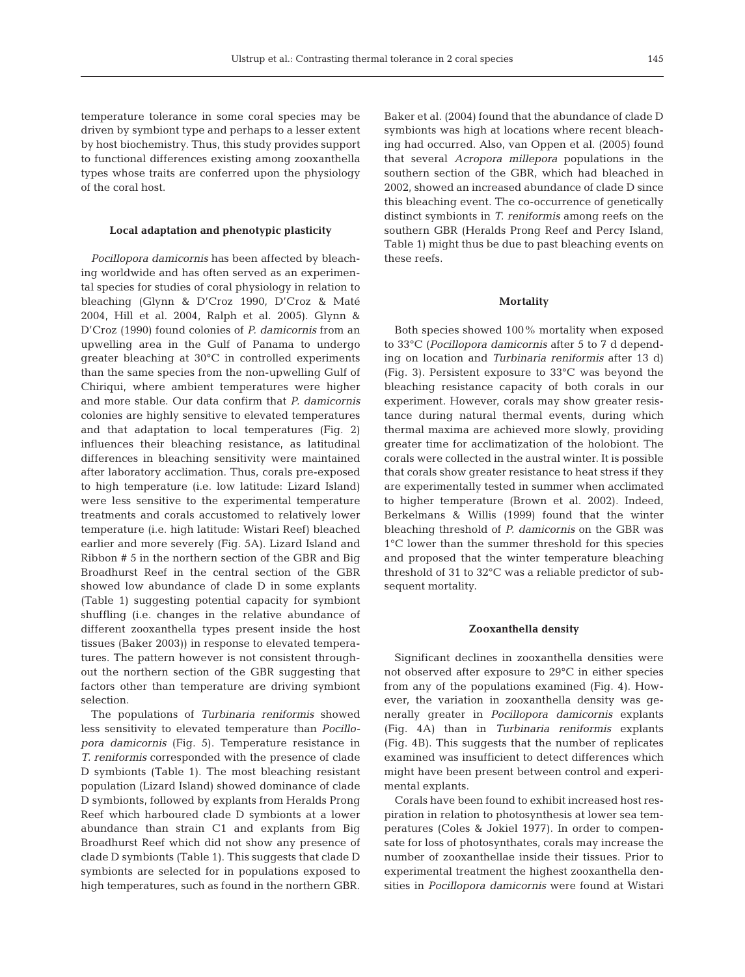temperature tolerance in some coral species may be driven by symbiont type and perhaps to a lesser extent by host biochemistry. Thus, this study provides support to functional differences existing among zooxanthella types whose traits are conferred upon the physiology of the coral host.

#### **Local adaptation and phenotypic plasticity**

*Pocillopora damicornis* has been affected by bleaching worldwide and has often served as an experimental species for studies of coral physiology in relation to bleaching (Glynn & D'Croz 1990, D'Croz & Maté 2004, Hill et al. 2004, Ralph et al. 2005). Glynn & D'Croz (1990) found colonies of *P. damicornis* from an upwelling area in the Gulf of Panama to undergo greater bleaching at 30°C in controlled experiments than the same species from the non-upwelling Gulf of Chiriqui, where ambient temperatures were higher and more stable. Our data confirm that *P. damicornis* colonies are highly sensitive to elevated temperatures and that adaptation to local temperatures (Fig. 2) influences their bleaching resistance, as latitudinal differences in bleaching sensitivity were maintained after laboratory acclimation. Thus, corals pre-exposed to high temperature (i.e. low latitude: Lizard Island) were less sensitive to the experimental temperature treatments and corals accustomed to relatively lower temperature (i.e. high latitude: Wistari Reef) bleached earlier and more severely (Fig. 5A). Lizard Island and Ribbon # 5 in the northern section of the GBR and Big Broadhurst Reef in the central section of the GBR showed low abundance of clade D in some explants (Table 1) suggesting potential capacity for symbiont shuffling (i.e. changes in the relative abundance of different zooxanthella types present inside the host tissues (Baker 2003)) in response to elevated temperatures. The pattern however is not consistent throughout the northern section of the GBR suggesting that factors other than temperature are driving symbiont selection.

The populations of *Turbinaria reniformis* showed less sensitivity to elevated temperature than *Pocillopora damicornis* (Fig. 5). Temperature resistance in *T. reniformis* corresponded with the presence of clade D symbionts (Table 1). The most bleaching resistant population (Lizard Island) showed dominance of clade D symbionts, followed by explants from Heralds Prong Reef which harboured clade D symbionts at a lower abundance than strain C1 and explants from Big Broadhurst Reef which did not show any presence of clade D symbionts (Table 1). This suggests that clade D symbionts are selected for in populations exposed to high temperatures, such as found in the northern GBR.

Baker et al. (2004) found that the abundance of clade D symbionts was high at locations where recent bleaching had occurred. Also, van Oppen et al. (2005) found that several *Acropora millepora* populations in the southern section of the GBR, which had bleached in 2002, showed an increased abundance of clade D since this bleaching event. The co-occurrence of genetically distinct symbionts in *T. reniformis* among reefs on the southern GBR (Heralds Prong Reef and Percy Island, Table 1) might thus be due to past bleaching events on these reefs.

### **Mortality**

Both species showed 100% mortality when exposed to 33°C (*Pocillopora damicornis* after 5 to 7 d depending on location and *Turbinaria reniformis* after 13 d) (Fig. 3). Persistent exposure to 33°C was beyond the bleaching resistance capacity of both corals in our experiment. However, corals may show greater resistance during natural thermal events, during which thermal maxima are achieved more slowly, providing greater time for acclimatization of the holobiont. The corals were collected in the austral winter. It is possible that corals show greater resistance to heat stress if they are experimentally tested in summer when acclimated to higher temperature (Brown et al. 2002). Indeed, Berkelmans & Willis (1999) found that the winter bleaching threshold of *P. damicornis* on the GBR was 1°C lower than the summer threshold for this species and proposed that the winter temperature bleaching threshold of 31 to 32°C was a reliable predictor of subsequent mortality.

### **Zooxanthella density**

Significant declines in zooxanthella densities were not observed after exposure to 29°C in either species from any of the populations examined (Fig. 4). However, the variation in zooxanthella density was generally greater in *Pocillopora damicornis* explants (Fig. 4A) than in *Turbinaria reniformis* explants (Fig. 4B). This suggests that the number of replicates examined was insufficient to detect differences which might have been present between control and experimental explants.

Corals have been found to exhibit increased host respiration in relation to photosynthesis at lower sea temperatures (Coles & Jokiel 1977). In order to compensate for loss of photosynthates, corals may increase the number of zooxanthellae inside their tissues. Prior to experimental treatment the highest zooxanthella densities in *Pocillopora damicornis* were found at Wistari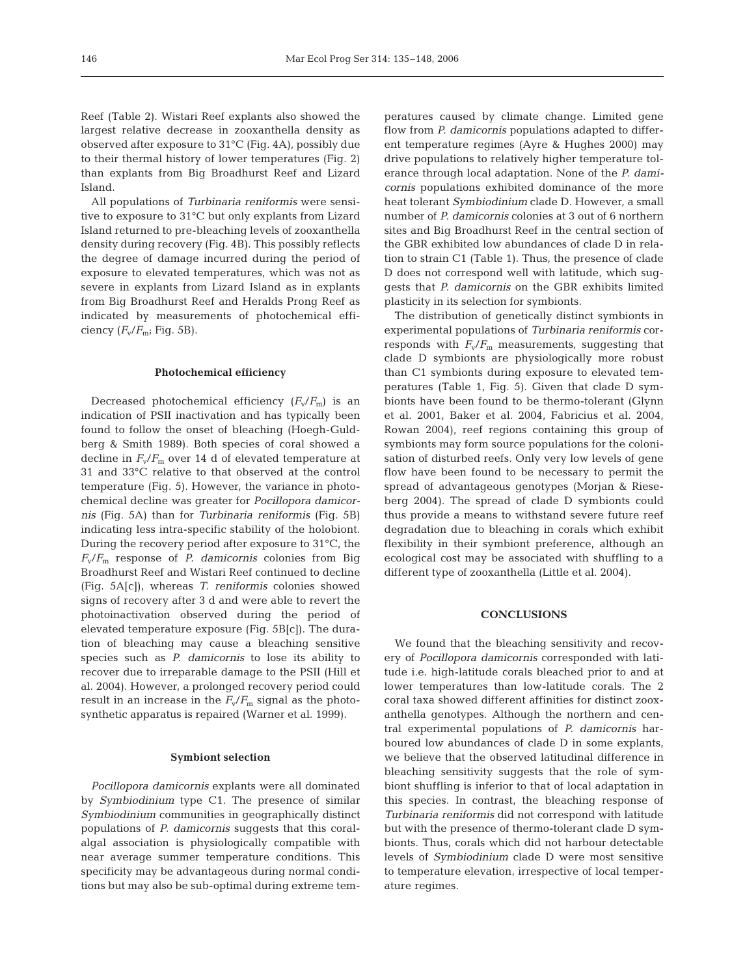Reef (Table 2). Wistari Reef explants also showed the largest relative decrease in zooxanthella density as observed after exposure to 31°C (Fig. 4A), possibly due to their thermal history of lower temperatures (Fig. 2) than explants from Big Broadhurst Reef and Lizard Island.

All populations of *Turbinaria reniformis* were sensitive to exposure to 31°C but only explants from Lizard Island returned to pre-bleaching levels of zooxanthella density during recovery (Fig. 4B). This possibly reflects the degree of damage incurred during the period of exposure to elevated temperatures, which was not as severe in explants from Lizard Island as in explants from Big Broadhurst Reef and Heralds Prong Reef as indicated by measurements of photochemical efficiency  $(F_v/F_m; Fig. 5B)$ .

#### **Photochemical efficiency**

Decreased photochemical efficiency  $(F_v/F_m)$  is an indication of PSII inactivation and has typically been found to follow the onset of bleaching (Hoegh-Guldberg & Smith 1989). Both species of coral showed a decline in  $F_v/F_m$  over 14 d of elevated temperature at 31 and 33°C relative to that observed at the control temperature (Fig. 5). However, the variance in photochemical decline was greater for *Pocillopora damicornis* (Fig. 5A) than for *Turbinaria reniformis* (Fig. 5B) indicating less intra-specific stability of the holobiont. During the recovery period after exposure to 31°C, the  $F_v/F_m$  response of *P. damicornis* colonies from Big Broadhurst Reef and Wistari Reef continued to decline (Fig. 5A[c]), whereas *T. reniformis* colonies showed signs of recovery after 3 d and were able to revert the photoinactivation observed during the period of elevated temperature exposure (Fig. 5B[c]). The duration of bleaching may cause a bleaching sensitive species such as *P. damicornis* to lose its ability to recover due to irreparable damage to the PSII (Hill et al. 2004). However, a prolonged recovery period could result in an increase in the  $F_v/F_m$  signal as the photosynthetic apparatus is repaired (Warner et al. 1999).

## **Symbiont selection**

*Pocillopora damicornis* explants were all dominated by *Symbiodinium* type C1. The presence of similar *Symbiodinium* communities in geographically distinct populations of *P. damicornis* suggests that this coralalgal association is physiologically compatible with near average summer temperature conditions. This specificity may be advantageous during normal conditions but may also be sub-optimal during extreme temperatures caused by climate change. Limited gene flow from *P. damicornis* populations adapted to different temperature regimes (Ayre & Hughes 2000) may drive populations to relatively higher temperature tolerance through local adaptation. None of the *P. damicornis* populations exhibited dominance of the more heat tolerant *Symbiodinium* clade D. However, a small number of *P. damicornis* colonies at 3 out of 6 northern sites and Big Broadhurst Reef in the central section of the GBR exhibited low abundances of clade D in relation to strain C1 (Table 1). Thus, the presence of clade D does not correspond well with latitude, which suggests that *P. damicornis* on the GBR exhibits limited plasticity in its selection for symbionts.

The distribution of genetically distinct symbionts in experimental populations of *Turbinaria reniformis* corresponds with  $F_v/F_m$  measurements, suggesting that clade D symbionts are physiologically more robust than C1 symbionts during exposure to elevated temperatures (Table 1, Fig. 5). Given that clade D symbionts have been found to be thermo-tolerant (Glynn et al. 2001, Baker et al. 2004, Fabricius et al. 2004, Rowan 2004), reef regions containing this group of symbionts may form source populations for the colonisation of disturbed reefs. Only very low levels of gene flow have been found to be necessary to permit the spread of advantageous genotypes (Morjan & Rieseberg 2004). The spread of clade D symbionts could thus provide a means to withstand severe future reef degradation due to bleaching in corals which exhibit flexibility in their symbiont preference, although an ecological cost may be associated with shuffling to a different type of zooxanthella (Little et al. 2004).

## **CONCLUSIONS**

We found that the bleaching sensitivity and recovery of *Pocillopora damicornis* corresponded with latitude i.e. high-latitude corals bleached prior to and at lower temperatures than low-latitude corals. The 2 coral taxa showed different affinities for distinct zooxanthella genotypes. Although the northern and central experimental populations of *P. damicornis* harboured low abundances of clade D in some explants, we believe that the observed latitudinal difference in bleaching sensitivity suggests that the role of symbiont shuffling is inferior to that of local adaptation in this species. In contrast, the bleaching response of *Turbinaria reniformis* did not correspond with latitude but with the presence of thermo-tolerant clade D symbionts. Thus, corals which did not harbour detectable levels of *Symbiodinium* clade D were most sensitive to temperature elevation, irrespective of local temperature regimes.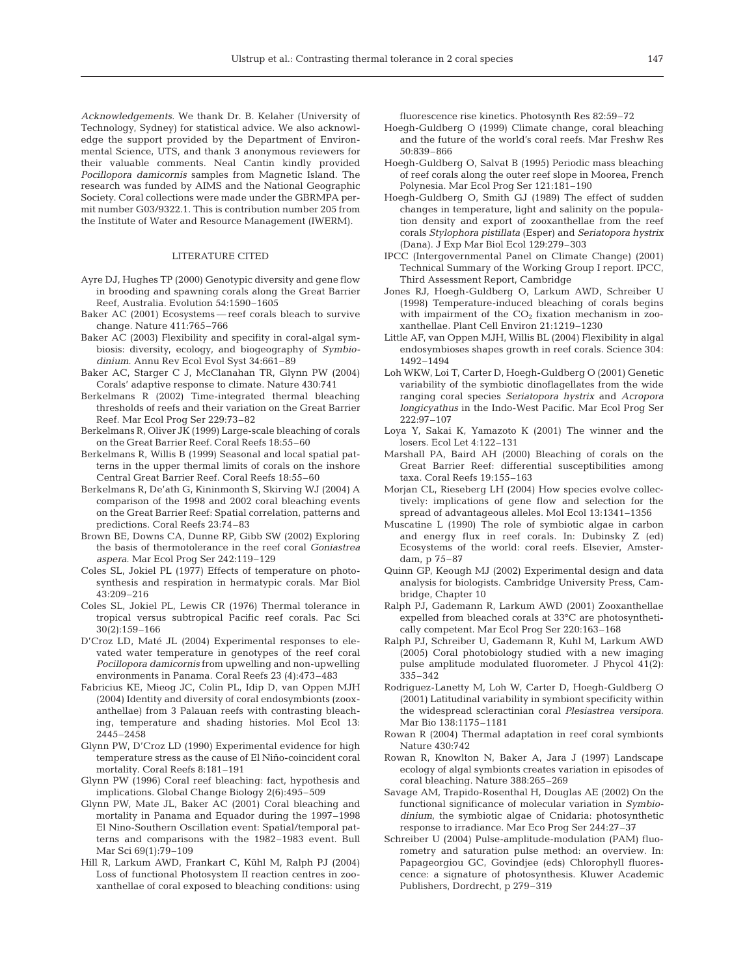*Acknowledgements.* We thank Dr. B. Kelaher (University of Technology, Sydney) for statistical advice. We also acknowledge the support provided by the Department of Environmental Science, UTS, and thank 3 anonymous reviewers for their valuable comments. Neal Cantin kindly provided *Pocillopora damicornis* samples from Magnetic Island. The research was funded by AIMS and the National Geographic Society. Coral collections were made under the GBRMPA permit number G03/9322.1. This is contribution number 205 from the Institute of Water and Resource Management (IWERM).

## LITERATURE CITED

- Ayre DJ, Hughes TP (2000) Genotypic diversity and gene flow in brooding and spawning corals along the Great Barrier Reef, Australia. Evolution 54:1590–1605
- Baker AC (2001) Ecosystems reef corals bleach to survive change. Nature 411:765–766
- Baker AC (2003) Flexibility and specifity in coral-algal symbiosis: diversity, ecology, and biogeography of *Symbiodinium*. Annu Rev Ecol Evol Syst 34:661–89
- Baker AC, Starger C J, McClanahan TR, Glynn PW (2004) Corals' adaptive response to climate. Nature 430:741
- Berkelmans R (2002) Time-integrated thermal bleaching thresholds of reefs and their variation on the Great Barrier Reef. Mar Ecol Prog Ser 229:73–82
- Berkelmans R, Oliver JK (1999) Large-scale bleaching of corals on the Great Barrier Reef. Coral Reefs 18:55–60
- Berkelmans R, Willis B (1999) Seasonal and local spatial patterns in the upper thermal limits of corals on the inshore Central Great Barrier Reef. Coral Reefs 18:55–60
- Berkelmans R, De'ath G, Kininmonth S, Skirving WJ (2004) A comparison of the 1998 and 2002 coral bleaching events on the Great Barrier Reef: Spatial correlation, patterns and predictions. Coral Reefs 23:74–83
- Brown BE, Downs CA, Dunne RP, Gibb SW (2002) Exploring the basis of thermotolerance in the reef coral *Goniastrea aspera*. Mar Ecol Prog Ser 242:119–129
- Coles SL, Jokiel PL (1977) Effects of temperature on photosynthesis and respiration in hermatypic corals. Mar Biol 43:209–216
- Coles SL, Jokiel PL, Lewis CR (1976) Thermal tolerance in tropical versus subtropical Pacific reef corals. Pac Sci 30(2):159–166
- D'Croz LD, Maté JL (2004) Experimental responses to elevated water temperature in genotypes of the reef coral *Pocillopora damicornis* from upwelling and non-upwelling environments in Panama. Coral Reefs 23 (4):473–483
- Fabricius KE, Mieog JC, Colin PL, Idip D, van Oppen MJH (2004) Identity and diversity of coral endosymbionts (zooxanthellae) from 3 Palauan reefs with contrasting bleaching, temperature and shading histories. Mol Ecol 13: 2445–2458
- Glynn PW, D'Croz LD (1990) Experimental evidence for high temperature stress as the cause of El Niño-coincident coral mortality. Coral Reefs 8:181–191
- Glynn PW (1996) Coral reef bleaching: fact, hypothesis and implications. Global Change Biology 2(6):495–509
- Glynn PW, Mate JL, Baker AC (2001) Coral bleaching and mortality in Panama and Equador during the 1997–1998 El Nino-Southern Oscillation event: Spatial/temporal patterns and comparisons with the 1982–1983 event. Bull Mar Sci 69(1):79–109
- Hill R, Larkum AWD, Frankart C, Kühl M, Ralph PJ (2004) Loss of functional Photosystem II reaction centres in zooxanthellae of coral exposed to bleaching conditions: using

fluorescence rise kinetics. Photosynth Res 82:59–72

- Hoegh-Guldberg O (1999) Climate change, coral bleaching and the future of the world's coral reefs. Mar Freshw Res 50:839–866
- Hoegh-Guldberg O, Salvat B (1995) Periodic mass bleaching of reef corals along the outer reef slope in Moorea, French Polynesia. Mar Ecol Prog Ser 121:181–190
- Hoegh-Guldberg O, Smith GJ (1989) The effect of sudden changes in temperature, light and salinity on the population density and export of zooxanthellae from the reef corals *Stylophora pistillata* (Esper) and *Seriatopora hystrix* (Dana). J Exp Mar Biol Ecol 129:279–303
- IPCC (Intergovernmental Panel on Climate Change) (2001) Technical Summary of the Working Group I report. IPCC, Third Assessment Report, Cambridge
- Jones RJ, Hoegh-Guldberg O, Larkum AWD, Schreiber U (1998) Temperature-induced bleaching of corals begins with impairment of the  $CO<sub>2</sub>$  fixation mechanism in zooxanthellae. Plant Cell Environ 21:1219–1230
- Little AF, van Oppen MJH, Willis BL (2004) Flexibility in algal endosymbioses shapes growth in reef corals. Science 304: 1492–1494
- Loh WKW, Loi T, Carter D, Hoegh-Guldberg O (2001) Genetic variability of the symbiotic dinoflagellates from the wide ranging coral species *Seriatopora hystrix* and *Acropora longicyathus* in the Indo-West Pacific. Mar Ecol Prog Ser 222:97–107
- Loya Y, Sakai K, Yamazoto K (2001) The winner and the losers. Ecol Let 4:122–131
- Marshall PA, Baird AH (2000) Bleaching of corals on the Great Barrier Reef: differential susceptibilities among taxa. Coral Reefs 19:155–163
- Morjan CL, Rieseberg LH (2004) How species evolve collectively: implications of gene flow and selection for the spread of advantageous alleles. Mol Ecol 13:1341–1356
- Muscatine L (1990) The role of symbiotic algae in carbon and energy flux in reef corals. In: Dubinsky Z (ed) Ecosystems of the world: coral reefs. Elsevier, Amsterdam, p 75–87
- Quinn GP, Keough MJ (2002) Experimental design and data analysis for biologists. Cambridge University Press, Cambridge, Chapter 10
- Ralph PJ, Gademann R, Larkum AWD (2001) Zooxanthellae expelled from bleached corals at 33°C are photosynthetically competent. Mar Ecol Prog Ser 220:163–168
- Ralph PJ, Schreiber U, Gademann R, Kuhl M, Larkum AWD (2005) Coral photobiology studied with a new imaging pulse amplitude modulated fluorometer. J Phycol 41(2): 335–342
- Rodriguez-Lanetty M, Loh W, Carter D, Hoegh-Guldberg O (2001) Latitudinal variability in symbiont specificity within the widespread scleractinian coral *Plesiastrea versipora*. Mar Bio 138:1175–1181
- Rowan R (2004) Thermal adaptation in reef coral symbionts Nature 430:742
- Rowan R, Knowlton N, Baker A, Jara J (1997) Landscape ecology of algal symbionts creates variation in episodes of coral bleaching. Nature 388:265–269
- Savage AM, Trapido-Rosenthal H, Douglas AE (2002) On the functional significance of molecular variation in *Symbiodinium*, the symbiotic algae of Cnidaria: photosynthetic response to irradiance. Mar Eco Prog Ser 244:27–37
- Schreiber U (2004) Pulse-amplitude-modulation (PAM) fluorometry and saturation pulse method: an overview. In: Papageorgiou GC, Govindjee (eds) Chlorophyll fluorescence: a signature of photosynthesis. Kluwer Academic Publishers, Dordrecht, p 279–319